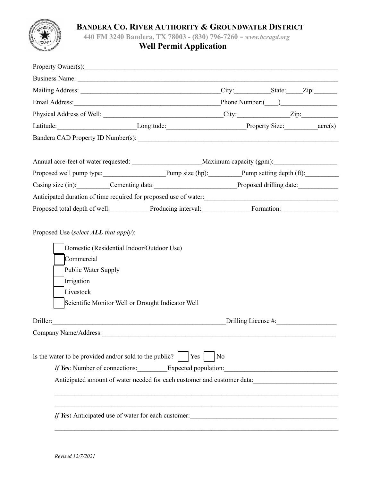

### **BANDERA CO. RIVER AUTHORITY & GROUNDWATER DISTRICT**

**440 FM 3240 Bandera, TX 78003 - (830) 796-7260 -** *www.bcragd.org*

# **Well Permit Application**

| Property Owner(s):                                                                                                                                                                                                                                          |                        |                                                                                   |  |  |
|-------------------------------------------------------------------------------------------------------------------------------------------------------------------------------------------------------------------------------------------------------------|------------------------|-----------------------------------------------------------------------------------|--|--|
| Business Name:                                                                                                                                                                                                                                              |                        |                                                                                   |  |  |
|                                                                                                                                                                                                                                                             |                        |                                                                                   |  |  |
| Email Address: Phone Number: (2012)                                                                                                                                                                                                                         |                        |                                                                                   |  |  |
|                                                                                                                                                                                                                                                             |                        |                                                                                   |  |  |
|                                                                                                                                                                                                                                                             |                        |                                                                                   |  |  |
|                                                                                                                                                                                                                                                             |                        |                                                                                   |  |  |
|                                                                                                                                                                                                                                                             |                        |                                                                                   |  |  |
|                                                                                                                                                                                                                                                             |                        | Proposed well pump type: Pump size (hp): Pump size (hp): Pump setting depth (ft): |  |  |
|                                                                                                                                                                                                                                                             |                        |                                                                                   |  |  |
|                                                                                                                                                                                                                                                             |                        |                                                                                   |  |  |
| Proposed total depth of well: Producing interval: Formation: Formation:                                                                                                                                                                                     |                        |                                                                                   |  |  |
| Domestic (Residential Indoor/Outdoor Use)<br>Commercial<br>Public Water Supply<br>Irrigation<br>Livestock<br>Scientific Monitor Well or Drought Indicator Well                                                                                              |                        |                                                                                   |  |  |
| Driller:                                                                                                                                                                                                                                                    | Drilling License $#$ : |                                                                                   |  |  |
| Company Name/Address:                                                                                                                                                                                                                                       |                        |                                                                                   |  |  |
| Is the water to be provided and/or sold to the public?       Yes  <br>If Yes: Number of connections: Expected population:<br>Anticipated amount of water needed for each customer and customer data:<br>If Yes: Anticipated use of water for each customer: |                        | N <sub>o</sub>                                                                    |  |  |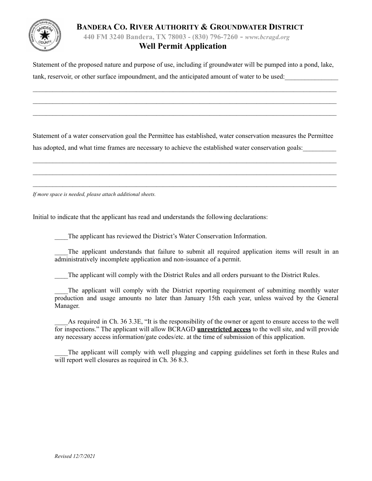### **BANDERA CO. RIVER AUTHORITY & GROUNDWATER DISTRICT**

**440 FM 3240 Bandera, TX 78003 - (830) 796-7260 -** *www.bcragd.org*

# **Well Permit Application**

Statement of the proposed nature and purpose of use, including if groundwater will be pumped into a pond, lake, tank, reservoir, or other surface impoundment, and the anticipated amount of water to be used:

 $\mathcal{L}_\mathcal{L} = \mathcal{L}_\mathcal{L} = \mathcal{L}_\mathcal{L} = \mathcal{L}_\mathcal{L} = \mathcal{L}_\mathcal{L} = \mathcal{L}_\mathcal{L} = \mathcal{L}_\mathcal{L} = \mathcal{L}_\mathcal{L} = \mathcal{L}_\mathcal{L} = \mathcal{L}_\mathcal{L} = \mathcal{L}_\mathcal{L} = \mathcal{L}_\mathcal{L} = \mathcal{L}_\mathcal{L} = \mathcal{L}_\mathcal{L} = \mathcal{L}_\mathcal{L} = \mathcal{L}_\mathcal{L} = \mathcal{L}_\mathcal{L}$  $\mathcal{L}_\mathcal{L} = \mathcal{L}_\mathcal{L} = \mathcal{L}_\mathcal{L} = \mathcal{L}_\mathcal{L} = \mathcal{L}_\mathcal{L} = \mathcal{L}_\mathcal{L} = \mathcal{L}_\mathcal{L} = \mathcal{L}_\mathcal{L} = \mathcal{L}_\mathcal{L} = \mathcal{L}_\mathcal{L} = \mathcal{L}_\mathcal{L} = \mathcal{L}_\mathcal{L} = \mathcal{L}_\mathcal{L} = \mathcal{L}_\mathcal{L} = \mathcal{L}_\mathcal{L} = \mathcal{L}_\mathcal{L} = \mathcal{L}_\mathcal{L}$  $\mathcal{L}_\mathcal{L} = \mathcal{L}_\mathcal{L} = \mathcal{L}_\mathcal{L} = \mathcal{L}_\mathcal{L} = \mathcal{L}_\mathcal{L} = \mathcal{L}_\mathcal{L} = \mathcal{L}_\mathcal{L} = \mathcal{L}_\mathcal{L} = \mathcal{L}_\mathcal{L} = \mathcal{L}_\mathcal{L} = \mathcal{L}_\mathcal{L} = \mathcal{L}_\mathcal{L} = \mathcal{L}_\mathcal{L} = \mathcal{L}_\mathcal{L} = \mathcal{L}_\mathcal{L} = \mathcal{L}_\mathcal{L} = \mathcal{L}_\mathcal{L}$ 

Statement of a water conservation goal the Permittee has established, water conservation measures the Permittee has adopted, and what time frames are necessary to achieve the established water conservation goals:

 $\mathcal{L}_\mathcal{L} = \mathcal{L}_\mathcal{L} = \mathcal{L}_\mathcal{L} = \mathcal{L}_\mathcal{L} = \mathcal{L}_\mathcal{L} = \mathcal{L}_\mathcal{L} = \mathcal{L}_\mathcal{L} = \mathcal{L}_\mathcal{L} = \mathcal{L}_\mathcal{L} = \mathcal{L}_\mathcal{L} = \mathcal{L}_\mathcal{L} = \mathcal{L}_\mathcal{L} = \mathcal{L}_\mathcal{L} = \mathcal{L}_\mathcal{L} = \mathcal{L}_\mathcal{L} = \mathcal{L}_\mathcal{L} = \mathcal{L}_\mathcal{L}$  $\mathcal{L}_\mathcal{L} = \mathcal{L}_\mathcal{L} = \mathcal{L}_\mathcal{L} = \mathcal{L}_\mathcal{L} = \mathcal{L}_\mathcal{L} = \mathcal{L}_\mathcal{L} = \mathcal{L}_\mathcal{L} = \mathcal{L}_\mathcal{L} = \mathcal{L}_\mathcal{L} = \mathcal{L}_\mathcal{L} = \mathcal{L}_\mathcal{L} = \mathcal{L}_\mathcal{L} = \mathcal{L}_\mathcal{L} = \mathcal{L}_\mathcal{L} = \mathcal{L}_\mathcal{L} = \mathcal{L}_\mathcal{L} = \mathcal{L}_\mathcal{L}$  $\mathcal{L}_\mathcal{L} = \mathcal{L}_\mathcal{L} = \mathcal{L}_\mathcal{L} = \mathcal{L}_\mathcal{L} = \mathcal{L}_\mathcal{L} = \mathcal{L}_\mathcal{L} = \mathcal{L}_\mathcal{L} = \mathcal{L}_\mathcal{L} = \mathcal{L}_\mathcal{L} = \mathcal{L}_\mathcal{L} = \mathcal{L}_\mathcal{L} = \mathcal{L}_\mathcal{L} = \mathcal{L}_\mathcal{L} = \mathcal{L}_\mathcal{L} = \mathcal{L}_\mathcal{L} = \mathcal{L}_\mathcal{L} = \mathcal{L}_\mathcal{L}$ 

*If more space is needed, please attach additional sheets.*

Initial to indicate that the applicant has read and understands the following declarations:

\_\_\_\_The applicant has reviewed the District's Water Conservation Information.

The applicant understands that failure to submit all required application items will result in an administratively incomplete application and non-issuance of a permit.

\_\_\_\_The applicant will comply with the District Rules and all orders pursuant to the District Rules.

The applicant will comply with the District reporting requirement of submitting monthly water production and usage amounts no later than January 15th each year, unless waived by the General Manager.

\_\_\_\_As required in Ch. 36 3.3E, "It is the responsibility of the owner or agent to ensure access to the well for inspections." The applicant will allow BCRAGD **unrestricted access** to the well site, and will provide any necessary access information/gate codes/etc. at the time of submission of this application.

The applicant will comply with well plugging and capping guidelines set forth in these Rules and will report well closures as required in Ch. 36 8.3.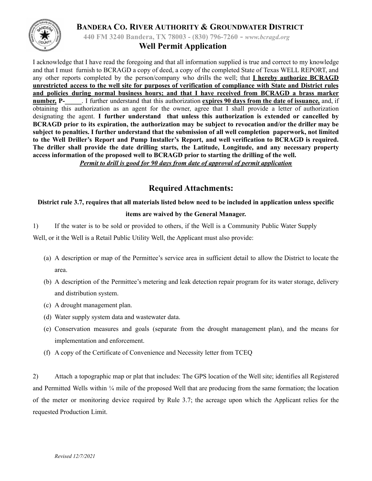



**440 FM 3240 Bandera, TX 78003 - (830) 796-7260 -** *www.bcragd.org*

## **Well Permit Application**

I acknowledge that I have read the foregoing and that all information supplied is true and correct to my knowledge and that I must furnish to BCRAGD a copy of deed, a copy of the completed State of Texas WELL REPORT, and any other reports completed by the person/company who drills the well; that **I hereby authorize BCRAGD** unrestricted access to the well site for purposes of verification of compliance with State and District rules **and policies during normal business hours; and that I have received from BCRAGD a brass marker number, P-\_\_\_\_\_**. I further understand that this authorization **expires 90 days from the date of issuance***,* and, if obtaining this authorization as an agent for the owner, agree that I shall provide a letter of authorization designating the agent. **I further understand that unless this authorization is extended or cancelled by BCRAGD prior to its expiration, the authorization may be subject to revocation and/or the driller may be subject to penalties. I further understand that the submission of all well completion paperwork, not limited to the Well Driller's Report and Pump Installer's Report, and well verification to BCRAGD is required. The driller shall provide the date drilling starts, the Latitude, Longitude, and any necessary property access information of the proposed well to BCRAGD prior to starting the drilling of the well.**

*Permit to drill is good for 90 days from date of approval of permit application*

# **Required Attachments:**

# District rule 3.7, requires that all materials listed below need to be included in application unless specific **items are waived by the General Manager.**

1) If the water is to be sold or provided to others, if the Well is a Community Public Water Supply

Well, or it the Well is a Retail Public Utility Well, the Applicant must also provide:

- (a) A description or map of the Permittee's service area in sufficient detail to allow the District to locate the area.
- (b) A description of the Permittee's metering and leak detection repair program for its water storage, delivery and distribution system.
- (c) A drought management plan.
- (d) Water supply system data and wastewater data.
- (e) Conservation measures and goals (separate from the drought management plan), and the means for implementation and enforcement.
- (f) A copy of the Certificate of Convenience and Necessity letter from TCEQ

2) Attach a topographic map or plat that includes: The GPS location of the Well site; identifies all Registered and Permitted Wells within  $\frac{1}{4}$  mile of the proposed Well that are producing from the same formation; the location of the meter or monitoring device required by Rule 3.7; the acreage upon which the Applicant relies for the requested Production Limit.